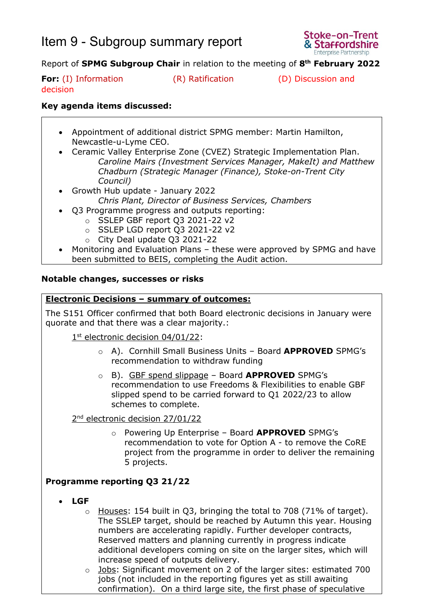# Item 9 - Subgroup summary report



## Report of **SPMG Subgroup Chair** in relation to the meeting of **8 th February 2022**

**For:** (I) Information (R) Ratification (D) Discussion and decision

### **Key agenda items discussed:**

- Appointment of additional district SPMG member: Martin Hamilton, Newcastle-u-Lyme CEO.
- Ceramic Valley Enterprise Zone (CVEZ) Strategic Implementation Plan. *Caroline Mairs (Investment Services Manager, MakeIt) and Matthew Chadburn (Strategic Manager (Finance), Stoke-on-Trent City Council)*
- Growth Hub update January 2022 *Chris Plant, Director of Business Services, Chambers*
- Q3 Programme progress and outputs reporting:
	- o SSLEP GBF report Q3 2021-22 v2
	- o SSLEP LGD report Q3 2021-22 v2
	- o City Deal update Q3 2021-22
- Monitoring and Evaluation Plans these were approved by SPMG and have been submitted to BEIS, completing the Audit action.

#### **Notable changes, successes or risks**

#### **Electronic Decisions – summary of outcomes:**

The S151 Officer confirmed that both Board electronic decisions in January were quorate and that there was a clear majority.:

1<sup>st</sup> electronic decision 04/01/22:

- o A). Cornhill Small Business Units Board **APPROVED** SPMG's recommendation to withdraw funding
- o B). GBF spend slippage Board **APPROVED** SPMG's recommendation to use Freedoms & Flexibilities to enable GBF slipped spend to be carried forward to Q1 2022/23 to allow schemes to complete.

2<sup>nd</sup> electronic decision 27/01/22

o Powering Up Enterprise – Board **APPROVED** SPMG's recommendation to vote for Option A - to remove the CoRE project from the programme in order to deliver the remaining 5 projects.

#### **Programme reporting Q3 21/22**

- **LGF** 
	- o Houses: 154 built in Q3, bringing the total to 708 (71% of target). The SSLEP target, should be reached by Autumn this year. Housing numbers are accelerating rapidly. Further developer contracts, Reserved matters and planning currently in progress indicate additional developers coming on site on the larger sites, which will increase speed of outputs delivery.
	- o Jobs: Significant movement on 2 of the larger sites: estimated 700 jobs (not included in the reporting figures yet as still awaiting confirmation). On a third large site, the first phase of speculative